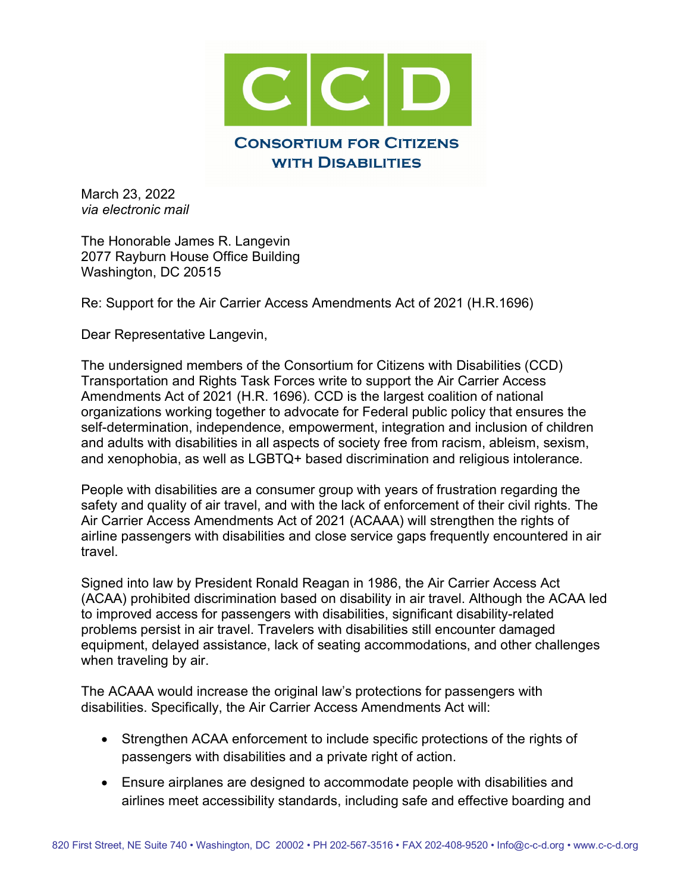

March 23, 2022 *via electronic mail*

The Honorable James R. Langevin 2077 Rayburn House Office Building Washington, DC 20515

Re: Support for the Air Carrier Access Amendments Act of 2021 (H.R.1696)

Dear Representative Langevin,

The undersigned members of the Consortium for Citizens with Disabilities (CCD) Transportation and Rights Task Forces write to support the Air Carrier Access Amendments Act of 2021 (H.R. 1696). CCD is the largest coalition of national organizations working together to advocate for Federal public policy that ensures the self-determination, independence, empowerment, integration and inclusion of children and adults with disabilities in all aspects of society free from racism, ableism, sexism, and xenophobia, as well as LGBTQ+ based discrimination and religious intolerance.

People with disabilities are a consumer group with years of frustration regarding the safety and quality of air travel, and with the lack of enforcement of their civil rights. The Air Carrier Access Amendments Act of 2021 (ACAAA) will strengthen the rights of airline passengers with disabilities and close service gaps frequently encountered in air travel.

Signed into law by President Ronald Reagan in 1986, the Air Carrier Access Act (ACAA) prohibited discrimination based on disability in air travel. Although the ACAA led to improved access for passengers with disabilities, significant disability-related problems persist in air travel. Travelers with disabilities still encounter damaged equipment, delayed assistance, lack of seating accommodations, and other challenges when traveling by air.

The ACAAA would increase the original law's protections for passengers with disabilities. Specifically, the Air Carrier Access Amendments Act will:

- Strengthen ACAA enforcement to include specific protections of the rights of passengers with disabilities and a private right of action.
- Ensure airplanes are designed to accommodate people with disabilities and airlines meet accessibility standards, including safe and effective boarding and